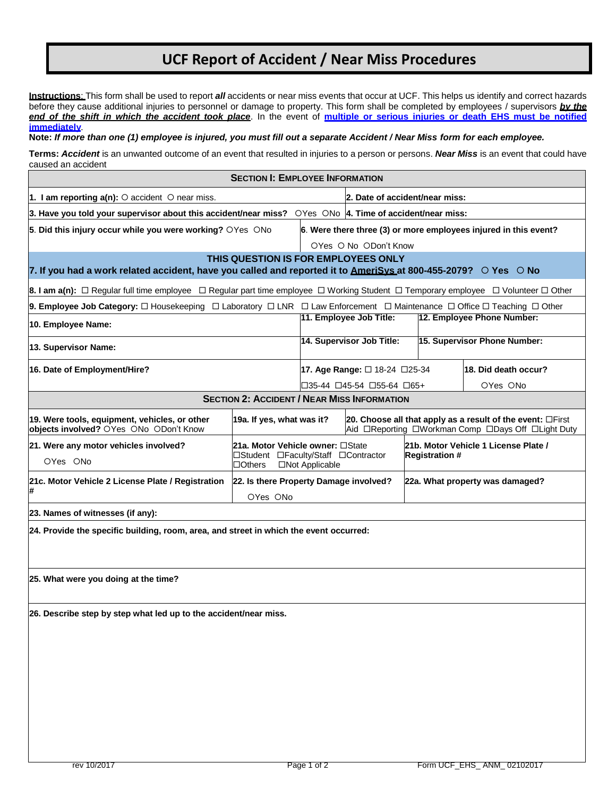## **UCF Report of Accident / Near Miss Procedures**

**Instructions**: This form shall be used to report *all* accidents or near miss events that occur at UCF. This helps us identify and correct hazards before they cause additional injuries to personnel or damage to property. This form shall be completed by employees / supervisors *by the* end of the shift in which the accident took place. In the event of multiple or serious injuries or death EHS must be notified **immediately**.

**Note:** *If more than one (1) employee is injured, you must fill out a separate Accident / Near Miss form for each employee.*

**Terms:** *Accident* is an unwanted outcome of an event that resulted in injuries to a person or persons. *Near Miss* is an event that could have caused an accident

| <b>SECTION I: EMPLOYEE INFORMATION</b>                                                                                                                            |                                                    |                                |                                          |                                                                                                                        |                              |  |  |  |  |  |
|-------------------------------------------------------------------------------------------------------------------------------------------------------------------|----------------------------------------------------|--------------------------------|------------------------------------------|------------------------------------------------------------------------------------------------------------------------|------------------------------|--|--|--|--|--|
| 1. I am reporting $a(n)$ : $\circ$ accident $\circ$ near miss.                                                                                                    |                                                    | 2. Date of accident/near miss: |                                          |                                                                                                                        |                              |  |  |  |  |  |
| 3. Have you told your supervisor about this accident/near miss? $\circ$ Yes $\circ$ No  4. Time of accident/near miss:                                            |                                                    |                                |                                          |                                                                                                                        |                              |  |  |  |  |  |
| 5. Did this injury occur while you were working? OYes ONo<br>6. Were there three (3) or more employees injured in this event?                                     |                                                    |                                |                                          |                                                                                                                        |                              |  |  |  |  |  |
| OYes O No ODon't Know                                                                                                                                             |                                                    |                                |                                          |                                                                                                                        |                              |  |  |  |  |  |
| THIS QUESTION IS FOR EMPLOYEES ONLY<br>7. If you had a work related accident, have you called and reported it to AmeriSys at 800-455-2079? $\circ$ Yes $\circ$ No |                                                    |                                |                                          |                                                                                                                        |                              |  |  |  |  |  |
| 8. I am a(n): $\Box$ Regular full time employee $\Box$ Regular part time employee $\Box$ Working Student $\Box$ Temporary employee $\Box$ Volunteer $\Box$ Other  |                                                    |                                |                                          |                                                                                                                        |                              |  |  |  |  |  |
| 9. Employee Job Category: □ Housekeeping □ Laboratory □ LNR □ Law Enforcement □ Maintenance □ Office □ Teaching □ Other                                           |                                                    |                                |                                          |                                                                                                                        |                              |  |  |  |  |  |
| 10. Employee Name:                                                                                                                                                |                                                    |                                | 11. Employee Job Title:                  |                                                                                                                        | 12. Employee Phone Number:   |  |  |  |  |  |
| 13. Supervisor Name:                                                                                                                                              |                                                    |                                | 14. Supervisor Job Title:                |                                                                                                                        | 15. Supervisor Phone Number: |  |  |  |  |  |
| 16. Date of Employment/Hire?                                                                                                                                      |                                                    |                                | 17. Age Range: $\Box$ 18-24 $\Box$ 25-34 |                                                                                                                        | 18. Did death occur?         |  |  |  |  |  |
|                                                                                                                                                                   |                                                    |                                | □35-44 □45-54 □55-64 □65+                |                                                                                                                        | OYes ONo                     |  |  |  |  |  |
| <b>SECTION 2: ACCIDENT / NEAR MISS INFORMATION</b>                                                                                                                |                                                    |                                |                                          |                                                                                                                        |                              |  |  |  |  |  |
| 19. Were tools, equipment, vehicles, or other<br>objects involved? OYes ONo ODon't Know                                                                           | 19a. If yes, what was it?                          |                                |                                          | 20. Choose all that apply as a result of the event: $\Box$ First<br>Aid □Reporting □Workman Comp □Days Off □Light Duty |                              |  |  |  |  |  |
| 21. Were any motor vehicles involved?                                                                                                                             | 21a. Motor Vehicle owner: □State                   |                                |                                          | 21b. Motor Vehicle 1 License Plate /                                                                                   |                              |  |  |  |  |  |
| OYes ONo                                                                                                                                                          | $\Box$ Others                                      | □Not Applicable                | □Student □Faculty/Staff □Contractor      |                                                                                                                        | <b>Registration #</b>        |  |  |  |  |  |
| 21c. Motor Vehicle 2 License Plate / Registration<br>#                                                                                                            | 22. Is there Property Damage involved?<br>OYes ONo |                                | 22a. What property was damaged?          |                                                                                                                        |                              |  |  |  |  |  |
| 23. Names of witnesses (if any):                                                                                                                                  |                                                    |                                |                                          |                                                                                                                        |                              |  |  |  |  |  |
| 24. Provide the specific building, room, area, and street in which the event occurred:                                                                            |                                                    |                                |                                          |                                                                                                                        |                              |  |  |  |  |  |
| 25. What were you doing at the time?                                                                                                                              |                                                    |                                |                                          |                                                                                                                        |                              |  |  |  |  |  |
| 26. Describe step by step what led up to the accident/near miss.                                                                                                  |                                                    |                                |                                          |                                                                                                                        |                              |  |  |  |  |  |
|                                                                                                                                                                   |                                                    |                                |                                          |                                                                                                                        |                              |  |  |  |  |  |
|                                                                                                                                                                   |                                                    |                                |                                          |                                                                                                                        |                              |  |  |  |  |  |
|                                                                                                                                                                   |                                                    |                                |                                          |                                                                                                                        |                              |  |  |  |  |  |
|                                                                                                                                                                   |                                                    |                                |                                          |                                                                                                                        |                              |  |  |  |  |  |
|                                                                                                                                                                   |                                                    |                                |                                          |                                                                                                                        |                              |  |  |  |  |  |
|                                                                                                                                                                   |                                                    |                                |                                          |                                                                                                                        |                              |  |  |  |  |  |
|                                                                                                                                                                   |                                                    |                                |                                          |                                                                                                                        |                              |  |  |  |  |  |